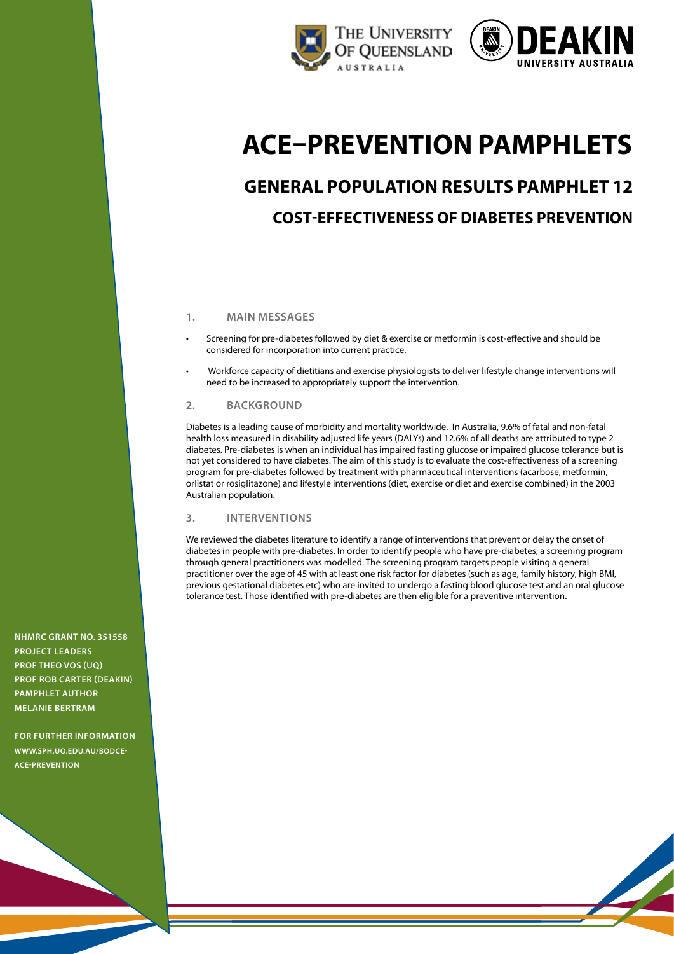



# **ACE–Prevention pamphlets**

# **General Population Results Pamphlet 12 Cost-Effectiveness of Diabetes Prevention**

# **1. Main messages**

- Screening for pre-diabetes followed by diet & exercise or metformin is cost-effective and should be considered for incorporation into current practice.
- • Workforce capacity of dietitians and exercise physiologists to deliver lifestyle change interventions will need to be increased to appropriately support the intervention.

## **2. Background**

Diabetes is a leading cause of morbidity and mortality worldwide. In Australia, 9.6% of fatal and non-fatal health loss measured in disability adjusted life years (DALYs) and 12.6% of all deaths are attributed to type 2 diabetes. Pre-diabetes is when an individual has impaired fasting glucose or impaired glucose tolerance but is not yet considered to have diabetes. The aim of this study is to evaluate the cost-effectiveness of a screening program for pre-diabetes followed by treatment with pharmaceutical interventions (acarbose, metformin, orlistat or rosiglitazone) and lifestyle interventions (diet, exercise or diet and exercise combined) in the 2003 Australian population.

# **3. Interventions**

We reviewed the diabetes literature to identify a range of interventions that prevent or delay the onset of diabetes in people with pre-diabetes. In order to identify people who have pre-diabetes, a screening program through general practitioners was modelled. The screening program targets people visiting a general practitioner over the age of 45 with at least one risk factor for diabetes (such as age, family history, high BMI, previous gestational diabetes etc) who are invited to undergo a fasting blood glucose test and an oral glucose tolerance test. Those identified with pre-diabetes are then eligible for a preventive intervention.

**NHMRC Grant No. 351558 project leaders Prof Theo Vos (UQ) Prof Rob Carter (Deakin) pamphlet author Melanie Bertram**

**For further information [www.SPH.uq.edu.au/bodce](http://www.sph.uq.edu.au/bodce-ace-prevention)ace-prevention**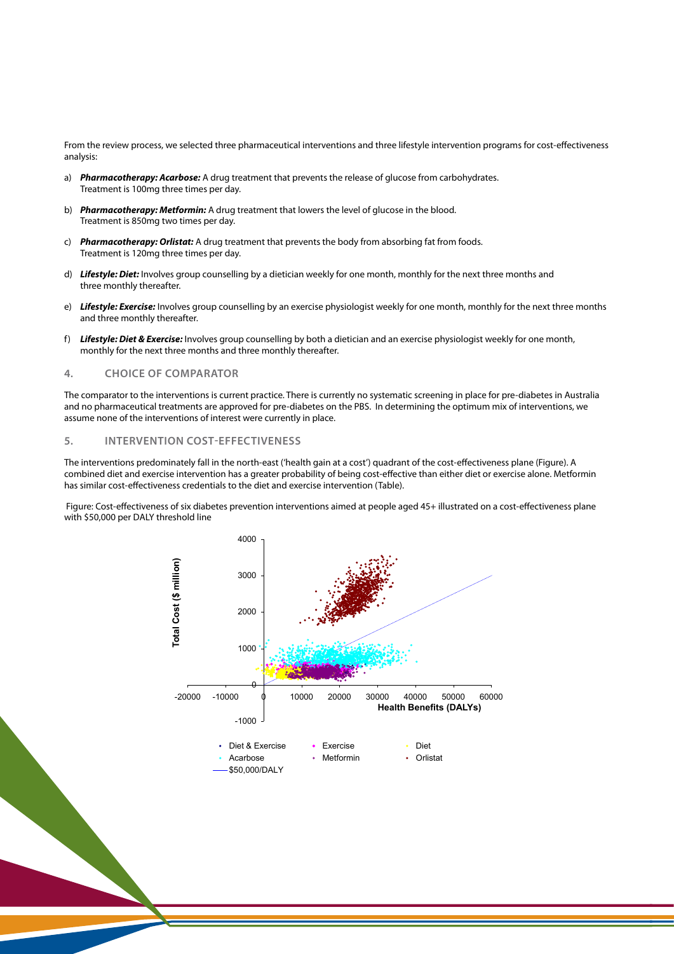From the review process, we selected three pharmaceutical interventions and three lifestyle intervention programs for cost-effectiveness analysis:

- a) **Pharmacotherapy: Acarbose:** A drug treatment that prevents the release of glucose from carbohydrates. Treatment is 100mg three times per day.
- b) **Pharmacotherapy: Metformin:** A drug treatment that lowers the level of glucose in the blood. Treatment is 850mg two times per day.
- c) **Pharmacotherapy: Orlistat:** A drug treatment that prevents the body from absorbing fat from foods. Treatment is 120mg three times per day.
- d) Lifestyle: Diet: Involves group counselling by a dietician weekly for one month, monthly for the next three months and three monthly thereafter.
- e) Lifestyle: Exercise: Involves group counselling by an exercise physiologist weekly for one month, monthly for the next three months and three monthly thereafter. f) *Lifestyle: Diet & Exercise:* Involves group counselling by both a dietician and an
- f) **Lifestyle: Diet & Exercise:** Involves group counselling by both a dietician and an exercise physiologist weekly for one month, monthly for the next three months and three monthly thereafter. tivolves group counsell

# **4. Choice of comparator 4. Choice of comparator**

The comparator to the interventions is current practice. There is currently no systematic screening in place for pre-diabetes in Australia and no pharmaceutical treatments are approved for pre-diabetes on the PBS. In determining the optimum mix of interventions, we and the priarmaced field frequencies are approved for pre-diabetes on the PBB. In determining the optimum mix of interventions of interest were currently in place. ventions of interest were currently in place.

# **5. Intervention cost-effectiveness 5. Intervention cost-effectiveness**

The interventions predominately fall in the north-east ('health gain at a cost') quadrant of the cost-effectiveness plane (Figure). A combined diet and exercise intervention has a greater probability of being cost-effective than either diet or exercise alone. Metformin has similar cost-effectiveness credentials to the diet and exercise intervention (Table).

Figure: Cost-effectiveness of six diabetes prevention interventions aimed at people aged 45+ illustrated on a cost-effectiveness plane with \$50,000 per DALY threshold line

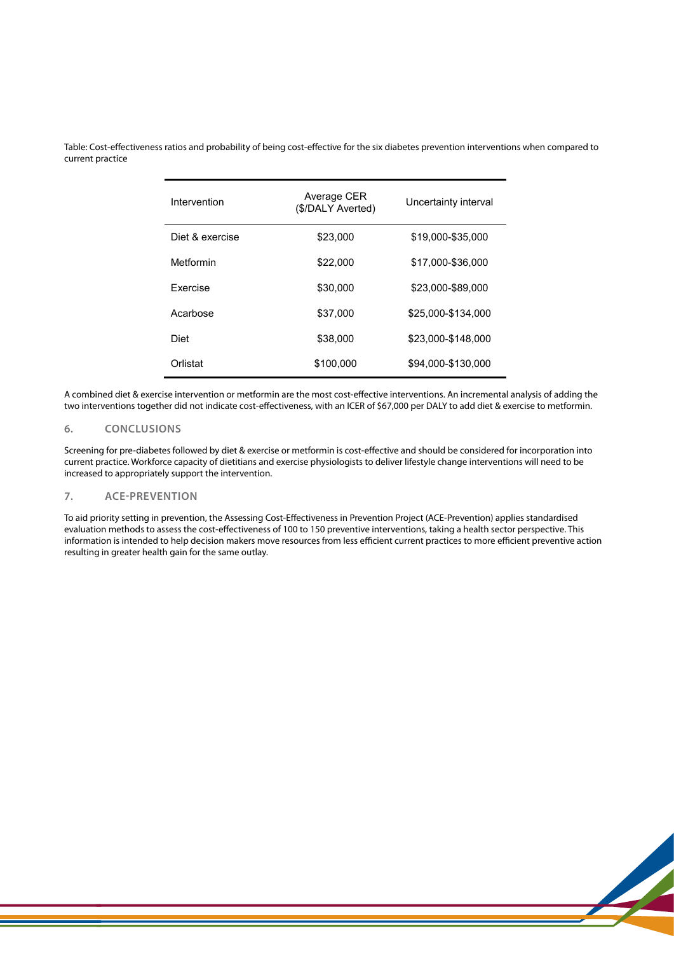Table: Cost-effectiveness ratios and probability of being cost-effective for the six diabetes prevention interventions when compared to current practice prevention interventions when compared to current practice to current practice to current practice  $\mathbf{r}$ 

| Intervention    | Average CER<br>(\$/DALY Averted) | Uncertainty interval |
|-----------------|----------------------------------|----------------------|
| Diet & exercise | \$23,000                         | \$19.000-\$35.000    |
| Metformin       | \$22,000                         | \$17.000-\$36.000    |
| <b>Exercise</b> | \$30,000                         | \$23.000-\$89.000    |
| Acarbose        | \$37,000                         | \$25,000-\$134,000   |
| Diet            | \$38,000                         | \$23,000-\$148,000   |
| Orlistat        | \$100.000                        | \$94,000-\$130,000   |

A combined diet & exercise intervention or metformin are the most cost-effective interventions. An incremental analysis of adding the A combined diet & exercise intervention or metformin are the most cost-effective interventions. An incremental analysis of adding the<br>two interventions together did not indicate cost-effectiveness, with an ICER of \$67,000 interventions. An incremental analysis of adding the two interventions together did not

#### **6. Conclusions** indicate concerness, with an ICER of  $\sim$  000 per DALY to add diet  $\sim$  000 per DALY to add diet  $\sim$

.<br>Screening for pre-diabetes followed by diet & exercise or metformin is cost-effective and should be considered for incorporation into current practice. Workforce capacity of dietitians and exercise physiologists to deliver lifestyle change interventions will need to be increased to appropriately support the intervention.

# **7. ACE-Prevention 6. Conclusions**

To aid priority setting in prevention, the Assessing Cost-Effectiveness in Prevention Project (ACE-Prevention) applies standardised evaluation methods to assess the cost-effectiveness of 100 to 150 preventive interventions, taking a health sector perspective. This information is intended to help decision makers move resources from less efficient current practices to more efficient preventive action<br>resulting in greater health gain for the same authu resulting in greater health gain for the same outlay.<br>.